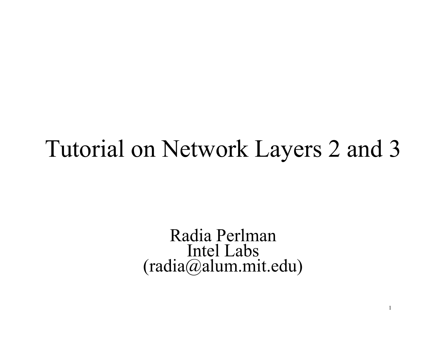#### Tutorial on Network Layers 2 and 3

Radia Perlman Intel Labs (radia@alum.mit.edu)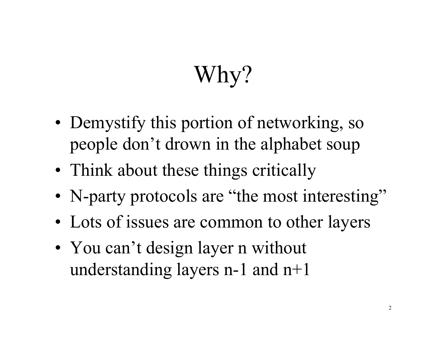# Why?

- Demystify this portion of networking, so people don't drown in the alphabet soup
- Think about these things critically
- N-party protocols are "the most interesting"
- Lots of issues are common to other layers
- You can't design layer n without understanding layers n-1 and n+1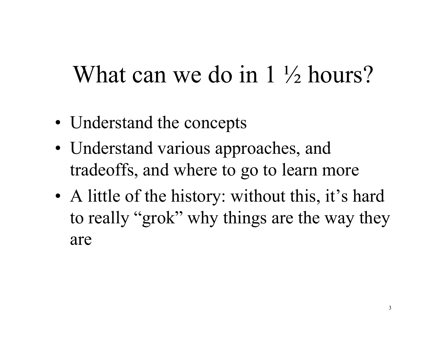#### What can we do in 1 <sup>1</sup>/<sub>2</sub> hours?

- Understand the concepts
- Understand various approaches, and tradeoffs, and where to go to learn more
- A little of the history: without this, it's hard to really "grok" why things are the way they are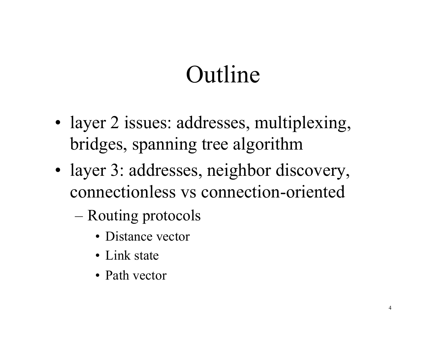# Outline

- layer 2 issues: addresses, multiplexing, bridges, spanning tree algorithm
- layer 3: addresses, neighbor discovery, connectionless vs connection-oriented
	- Routing protocols
		- Distance vector
		- Link state
		- Path vector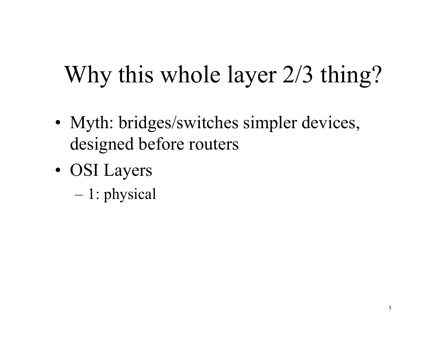- Myth: bridges/switches simpler devices, designed before routers
- OSI Layers
	- 1: physical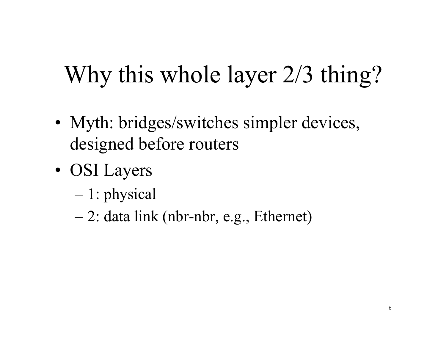- Myth: bridges/switches simpler devices, designed before routers
- OSI Layers
	- 1: physical
	- 2: data link (nbr-nbr, e.g., Ethernet)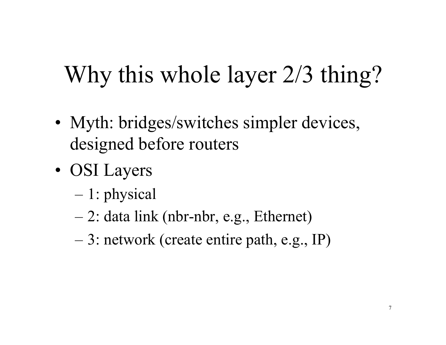- Myth: bridges/switches simpler devices, designed before routers
- OSI Layers
	- 1: physical
	- 2: data link (nbr-nbr, e.g., Ethernet)
	- 3: network (create entire path, e.g., IP)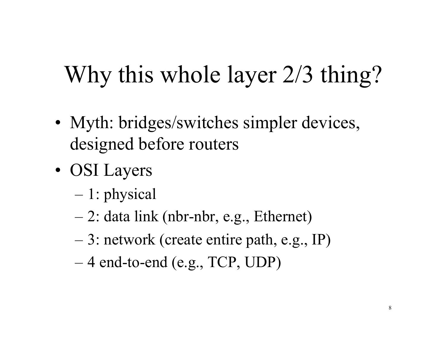- Myth: bridges/switches simpler devices, designed before routers
- OSI Layers
	- 1: physical
	- 2: data link (nbr-nbr, e.g., Ethernet)
	- 3: network (create entire path, e.g., IP)
	- 4 end-to-end (e.g., TCP, UDP)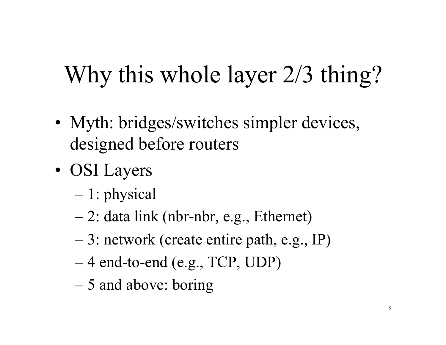- Myth: bridges/switches simpler devices, designed before routers
- OSI Layers
	- 1: physical
	- 2: data link (nbr-nbr, e.g., Ethernet)
	- 3: network (create entire path, e.g., IP)
	- 4 end-to-end (e.g., TCP, UDP)
	- 5 and above: boring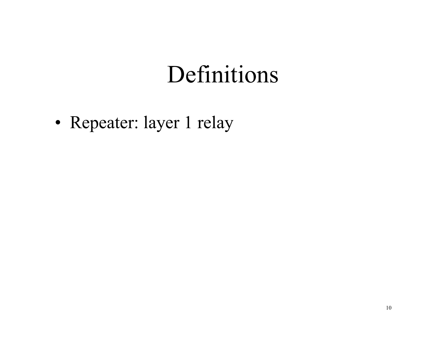• Repeater: layer 1 relay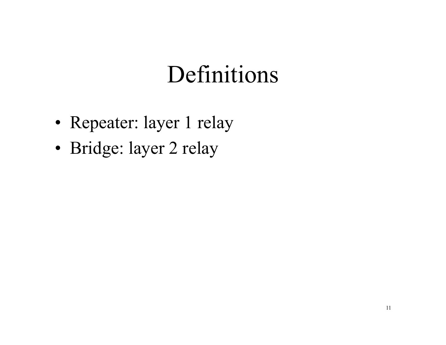- Repeater: layer 1 relay
- Bridge: layer 2 relay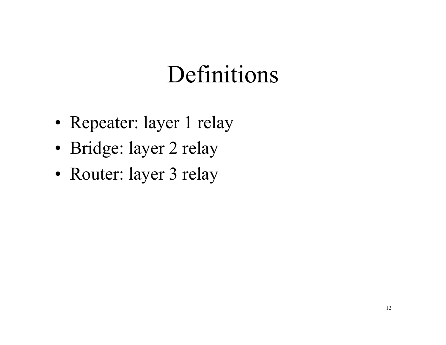- Repeater: layer 1 relay
- Bridge: layer 2 relay
- Router: layer 3 relay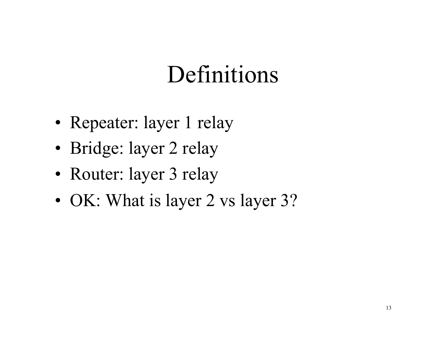- Repeater: layer 1 relay
- Bridge: layer 2 relay
- Router: layer 3 relay
- OK: What is layer 2 vs layer 3?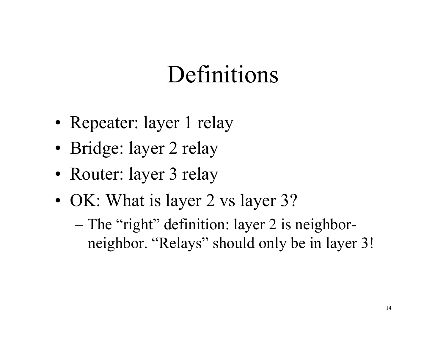- Repeater: layer 1 relay
- Bridge: layer 2 relay
- Router: layer 3 relay
- OK: What is layer 2 vs layer 3?
	- The "right" definition: layer 2 is neighborneighbor. "Relays" should only be in layer 3!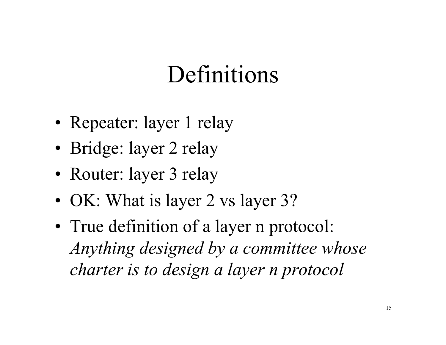- Repeater: layer 1 relay
- Bridge: layer 2 relay
- Router: layer 3 relay
- OK: What is layer 2 vs layer 3?
- True definition of a layer n protocol: *Anything designed by a committee whose charter is to design a layer n protocol*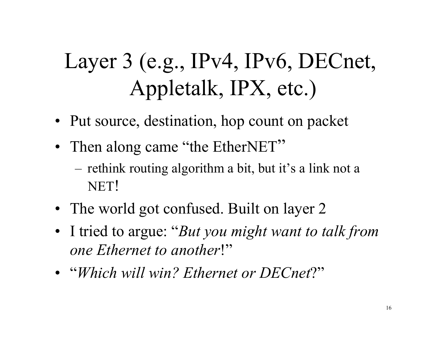#### Layer 3 (e.g., IPv4, IPv6, DECnet, Appletalk, IPX, etc.)

- Put source, destination, hop count on packet
- Then along came "the EtherNET"
	- rethink routing algorithm a bit, but it's a link not a NET!
- The world got confused. Built on layer 2
- I tried to argue: "*But you might want to talk from one Ethernet to another*!"
- "*Which will win? Ethernet or DECnet*?"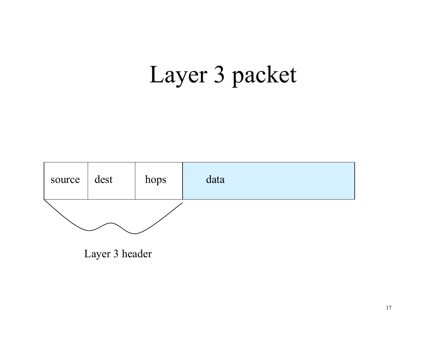## Layer 3 packet

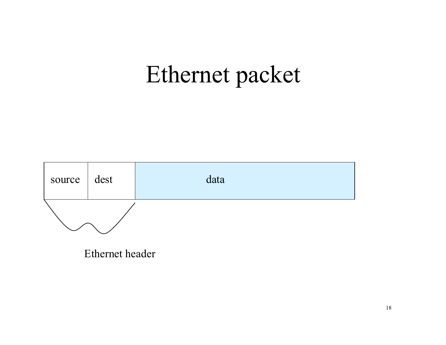#### Ethernet packet



Ethernet header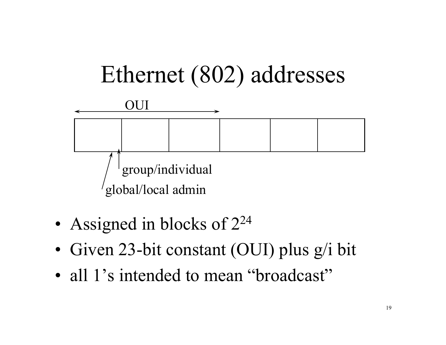

- Assigned in blocks of  $2^{24}$
- Given 23-bit constant (OUI) plus g/i bit
- all 1's intended to mean "broadcast"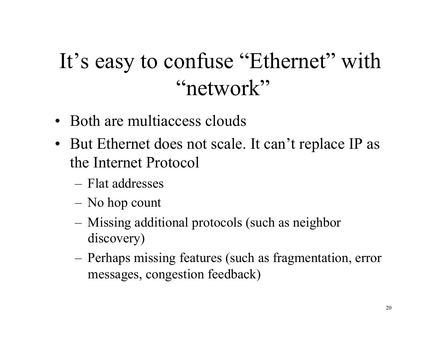#### It's easy to confuse "Ethernet" with "network"

- Both are multiaccess clouds
- But Ethernet does not scale. It can't replace IP as the Internet Protocol
	- Flat addresses
	- No hop count
	- Missing additional protocols (such as neighbor discovery)
	- Perhaps missing features (such as fragmentation, error messages, congestion feedback)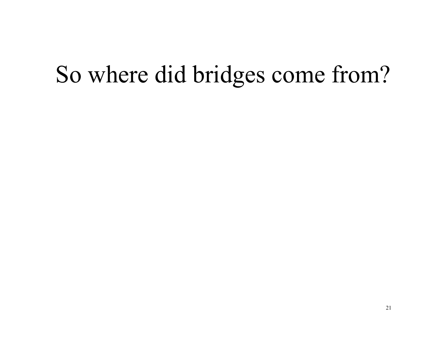#### So where did bridges come from?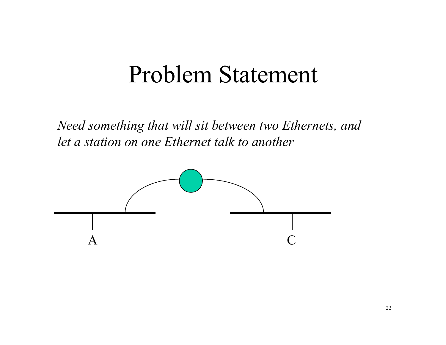#### Problem Statement

*Need something that will sit between two Ethernets, and let a station on one Ethernet talk to another* 

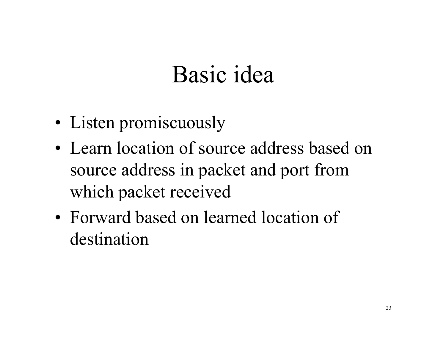## Basic idea

- Listen promiscuously
- Learn location of source address based on source address in packet and port from which packet received
- Forward based on learned location of destination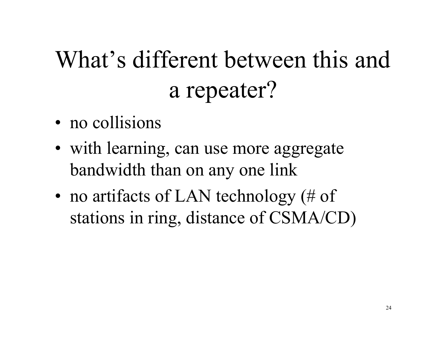# What's different between this and a repeater?

- no collisions
- with learning, can use more aggregate bandwidth than on any one link
- no artifacts of LAN technology (# of stations in ring, distance of CSMA/CD)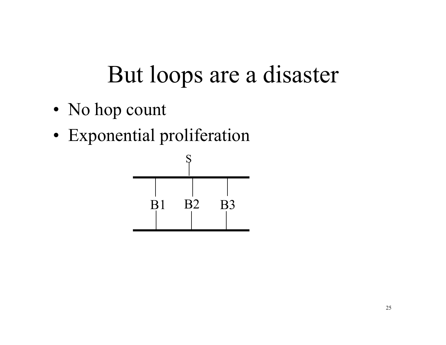- No hop count
- Exponential proliferation

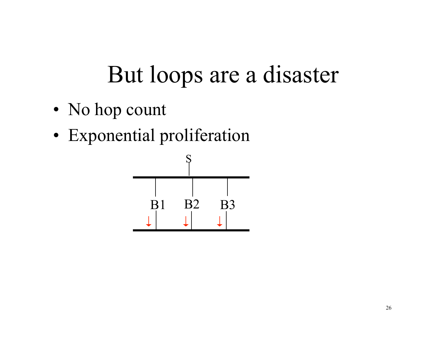- No hop count
- Exponential proliferation

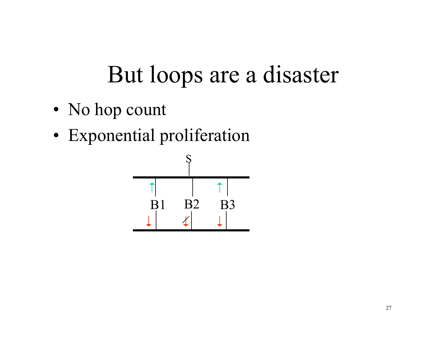- No hop count
- Exponential proliferation

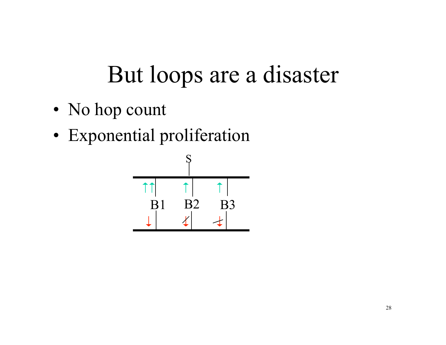- No hop count
- Exponential proliferation

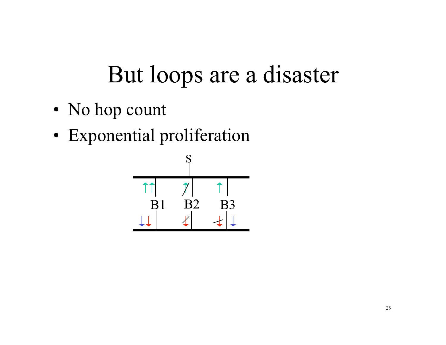- No hop count
- Exponential proliferation

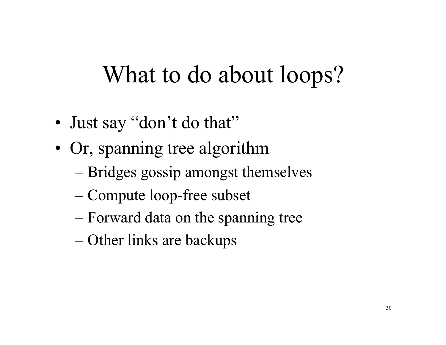#### What to do about loops?

- Just say "don't do that"
- Or, spanning tree algorithm
	- Bridges gossip amongst themselves
	- Compute loop-free subset
	- Forward data on the spanning tree
	- Other links are backups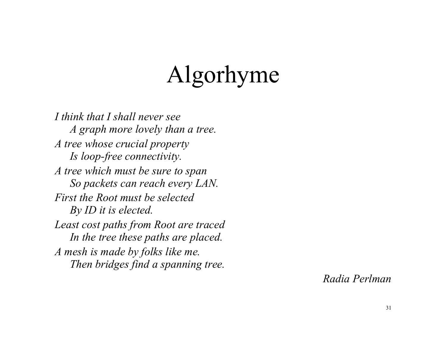# Algorhyme

*I think that I shall never see A graph more lovely than a tree. A tree whose crucial property Is loop-free connectivity. A tree which must be sure to span So packets can reach every LAN. First the Root must be selected By ID it is elected. Least cost paths from Root are traced In the tree these paths are placed. A mesh is made by folks like me. Then bridges find a spanning tree.* 

*Radia Perlman*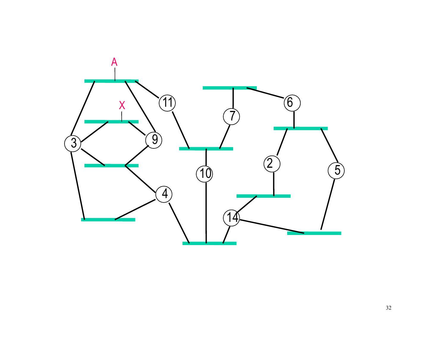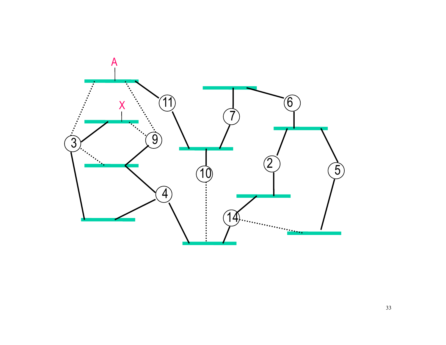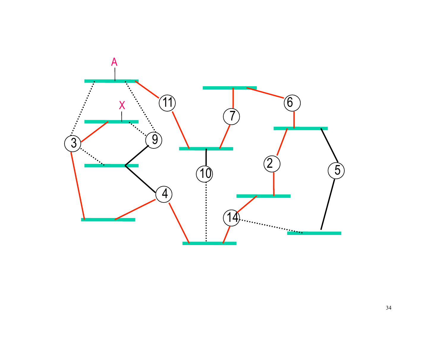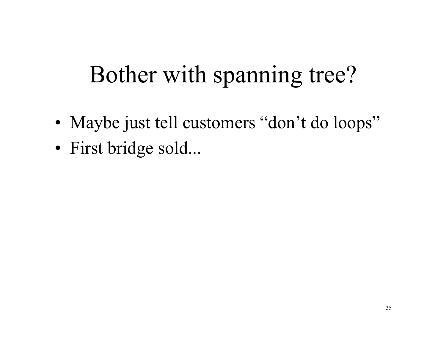## Bother with spanning tree?

- Maybe just tell customers "don't do loops"
- First bridge sold...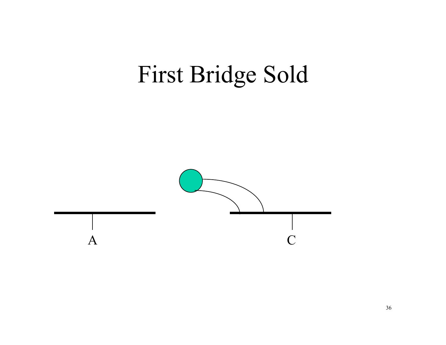## First Bridge Sold

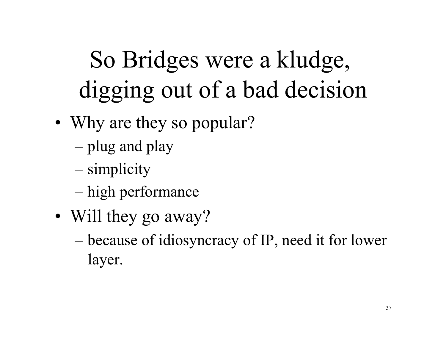# So Bridges were a kludge, digging out of a bad decision

- Why are they so popular?
	- plug and play
	- simplicity
	- high performance
- Will they go away?
	- because of idiosyncracy of IP, need it for lower layer.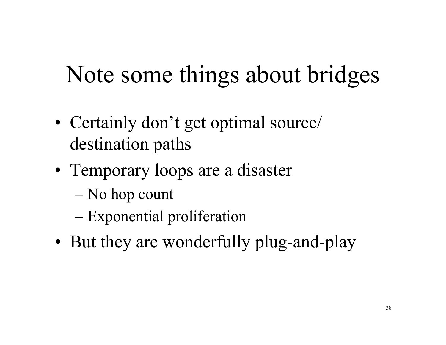## Note some things about bridges

- Certainly don't get optimal source destination paths
- Temporary loops are a disaster
	- No hop count
	- Exponential proliferation
- But they are wonderfully plug-and-play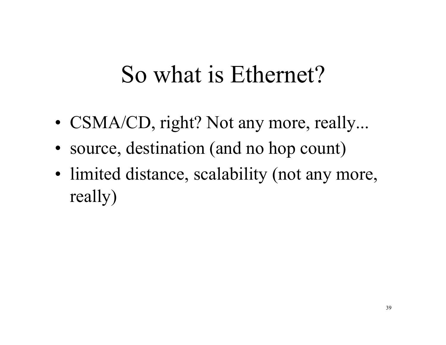### So what is Ethernet?

- CSMA/CD, right? Not any more, really...
- source, destination (and no hop count)
- limited distance, scalability (not any more, really)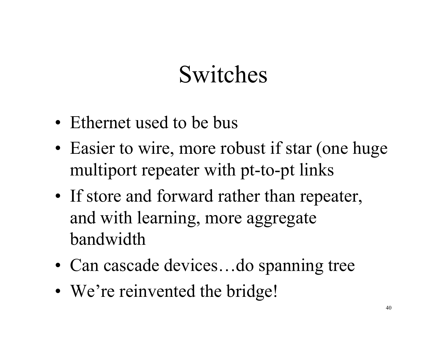## Switches

- Ethernet used to be bus
- Easier to wire, more robust if star (one huge multiport repeater with pt-to-pt links
- If store and forward rather than repeater, and with learning, more aggregate bandwidth
- Can cascade devices...do spanning tree
- We're reinvented the bridge!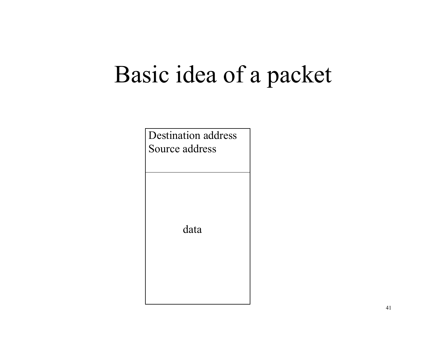### Basic idea of a packet

Destination address Source address data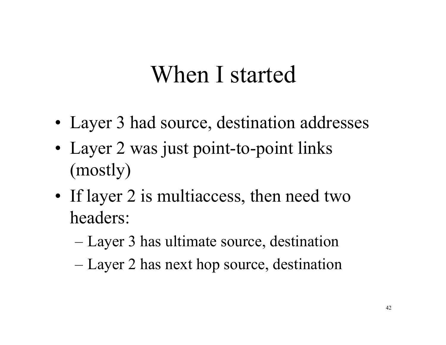### When I started

- Layer 3 had source, destination addresses
- Layer 2 was just point-to-point links (mostly)
- If layer 2 is multiaccess, then need two headers:
	- Layer 3 has ultimate source, destination
	- Layer 2 has next hop source, destination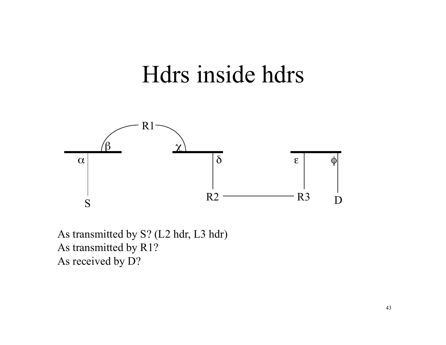

As transmitted by S? (L2 hdr, L3 hdr) As transmitted by R1? As received by D?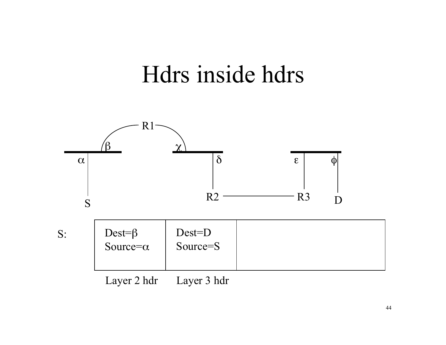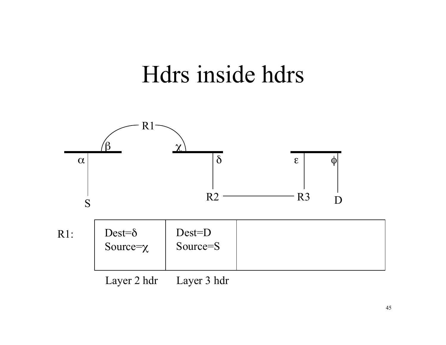

Layer 2 hdr Layer 3 hdr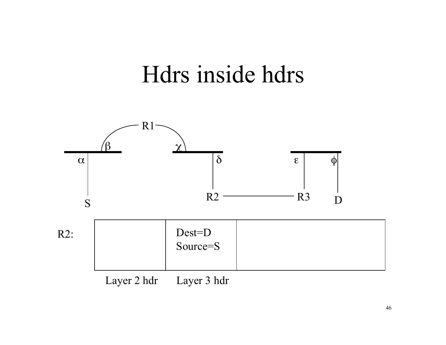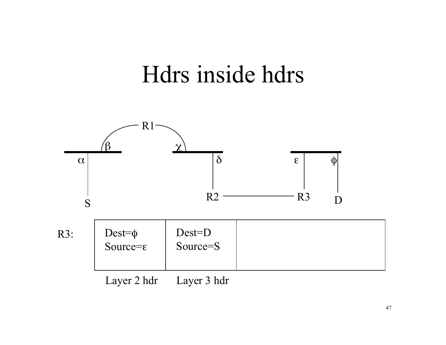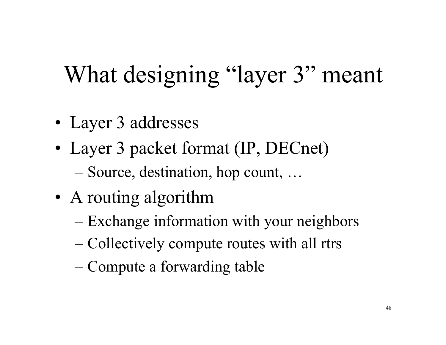# What designing "layer 3" meant

- Layer 3 addresses
- Layer 3 packet format (IP, DECnet)
	- Source, destination, hop count, …
- A routing algorithm
	- Exchange information with your neighbors
	- Collectively compute routes with all rtrs
	- Compute a forwarding table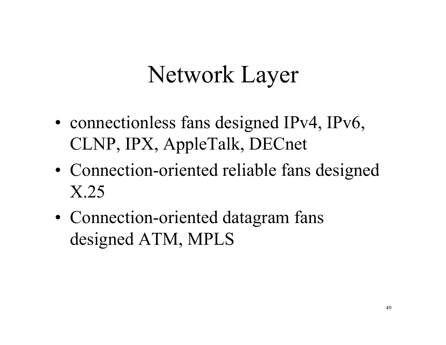## Network Layer

- connectionless fans designed IPv4, IPv6, CLNP, IPX, AppleTalk, DECnet
- Connection-oriented reliable fans designed X.25
- Connection-oriented datagram fans designed ATM, MPLS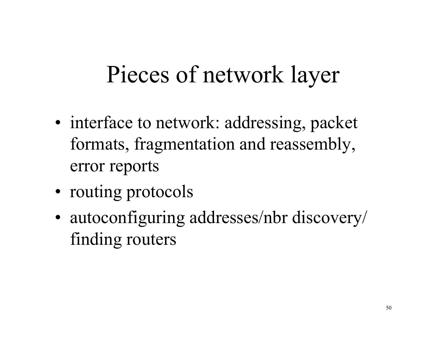## Pieces of network layer

- interface to network: addressing, packet formats, fragmentation and reassembly, error reports
- routing protocols
- autoconfiguring addresses/nbr discovery/ finding routers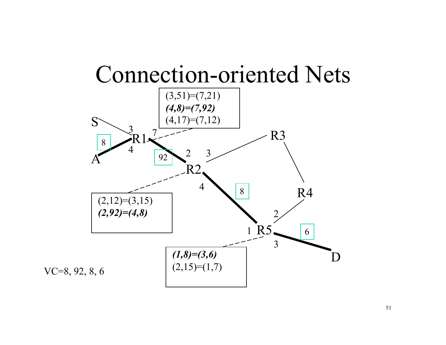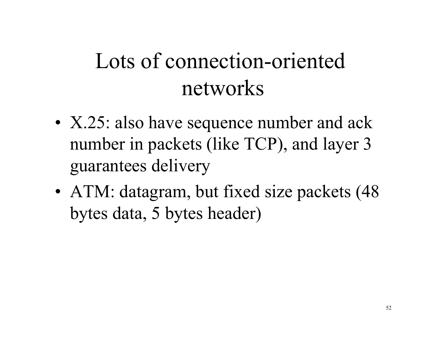### Lots of connection-oriented networks

- X.25: also have sequence number and ack number in packets (like TCP), and layer 3 guarantees delivery
- ATM: datagram, but fixed size packets (48) bytes data, 5 bytes header)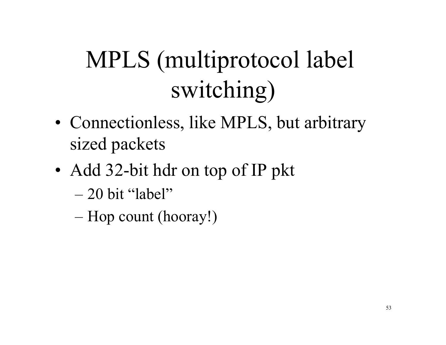# MPLS (multiprotocol label switching)

- Connectionless, like MPLS, but arbitrary sized packets
- Add 32-bit hdr on top of IP pkt
	- $-20$  bit "label"
	- Hop count (hooray!)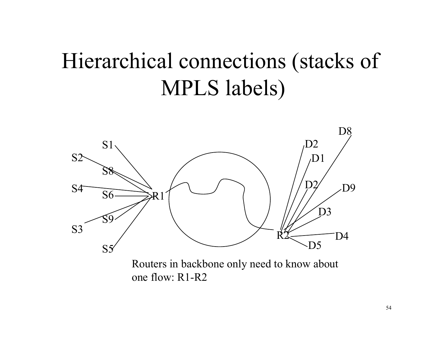### Hierarchical connections (stacks of MPLS labels)



Routers in backbone only need to know about one flow: R1-R2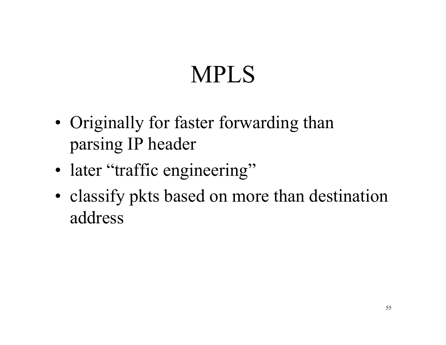# MPLS

- Originally for faster forwarding than parsing IP header
- later "traffic engineering"
- classify pkts based on more than destination address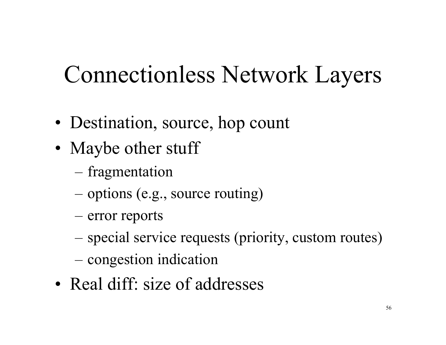# Connectionless Network Layers

- Destination, source, hop count
- Maybe other stuff
	- fragmentation
	- options (e.g., source routing)
	- error reports
	- special service requests (priority, custom routes)
	- congestion indication
- Real diff: size of addresses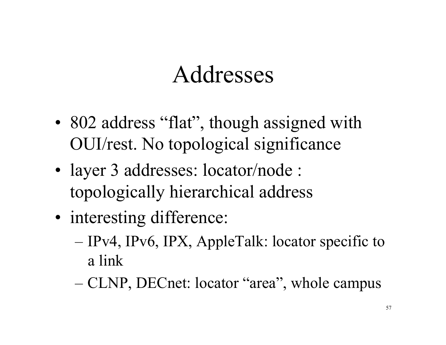### Addresses

- 802 address "flat", though assigned with OUI/rest. No topological significance
- layer 3 addresses: locator/node : topologically hierarchical address
- interesting difference:
	- IPv4, IPv6, IPX, AppleTalk: locator specific to a link
	- CLNP, DECnet: locator "area", whole campus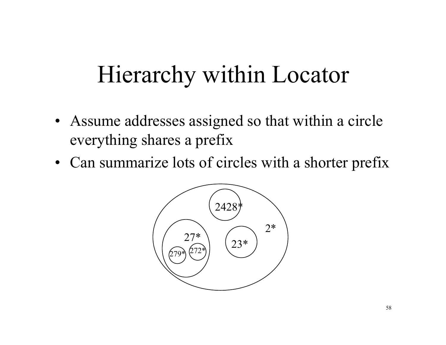### Hierarchy within Locator

- Assume addresses assigned so that within a circle everything shares a prefix
- Can summarize lots of circles with a shorter prefix

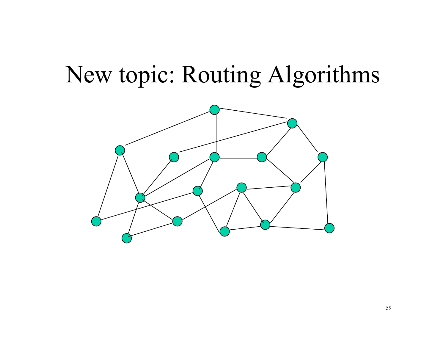### New topic: Routing Algorithms

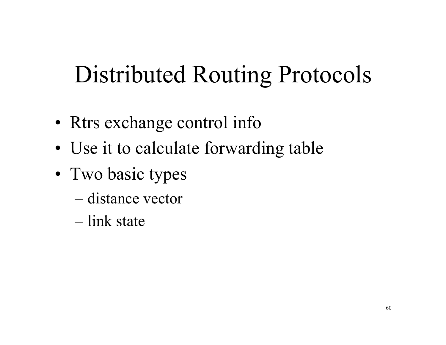## Distributed Routing Protocols

- Rtrs exchange control info
- Use it to calculate forwarding table
- Two basic types
	- distance vector
	- link state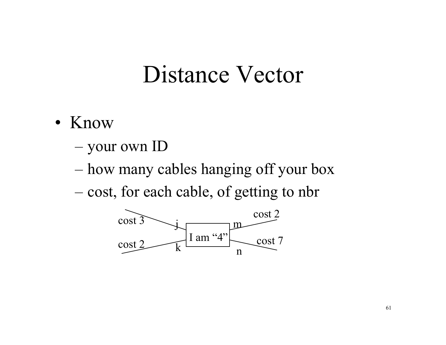#### Distance Vector

- Know
	- your own ID
	- how many cables hanging off your box
	- cost, for each cable, of getting to nbr

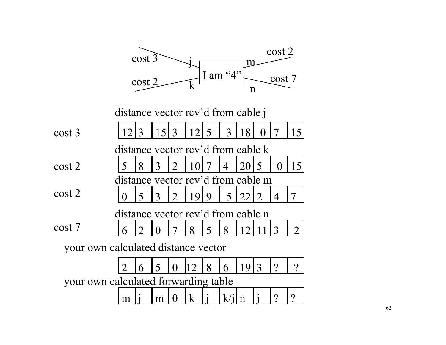|                                      | $\cos t$ 3 |                |      |                  |             |                                        | cost 2         |             |          |                       |                       |  |  |
|--------------------------------------|------------|----------------|------|------------------|-------------|----------------------------------------|----------------|-------------|----------|-----------------------|-----------------------|--|--|
|                                      |            | $\cos t 2$     |      |                  | $\mathbf k$ | m<br>I am "4"<br>cost 7<br>$\mathbf n$ |                |             |          |                       |                       |  |  |
| distance vector rcv'd from cable j   |            |                |      |                  |             |                                        |                |             |          |                       |                       |  |  |
| $\cos t$ 3                           | 12         | 3              | 15 3 |                  | $12$   5    |                                        | $\overline{3}$ | 18          | $\Omega$ |                       | 15 <sup>1</sup>       |  |  |
| distance vector rcy'd from cable k   |            |                |      |                  |             |                                        |                |             |          |                       |                       |  |  |
| $\cos t 2$                           | 5          | 8              | 3    | 2                | 10          |                                        | 4              | 20          | 5        | $\theta$              | 15 <sup>l</sup>       |  |  |
| distance vector rcy'd from cable m   |            |                |      |                  |             |                                        |                |             |          |                       |                       |  |  |
| cost 2                               |            | 5              | 3    | $\sum_{i=1}^{n}$ | 19          | 9                                      | 5              |             |          | 4                     |                       |  |  |
| distance vector rcy'd from cable n   |            |                |      |                  |             |                                        |                |             |          |                       |                       |  |  |
| cost 7                               | 6          | $\overline{2}$ | 0    |                  | 8           | 5                                      | 8              |             |          | 3                     | $\mathcal{D}_{\cdot}$ |  |  |
| your own calculated distance vector  |            |                |      |                  |             |                                        |                |             |          |                       |                       |  |  |
|                                      |            | 6              | 5    | ()               |             | 8                                      | 6              | 19          |          |                       | $\gamma$              |  |  |
| your own calculated forwarding table |            |                |      |                  |             |                                        |                |             |          |                       |                       |  |  |
|                                      | m          |                | m    |                  | $\bf k$     |                                        | K/1            | $\mathbf n$ |          | $\boldsymbol{\gamma}$ | $\boldsymbol{\gamma}$ |  |  |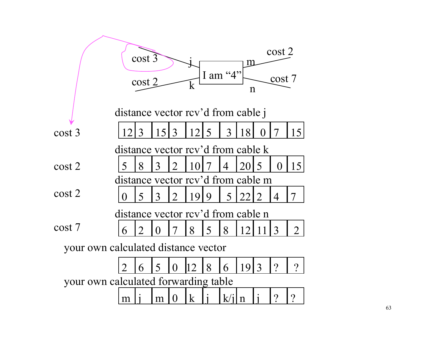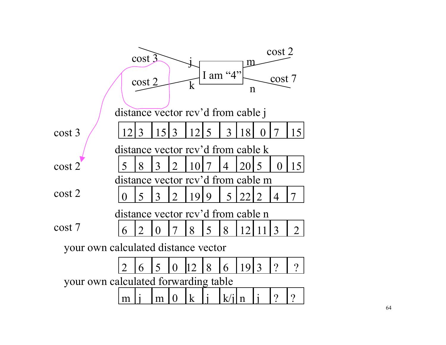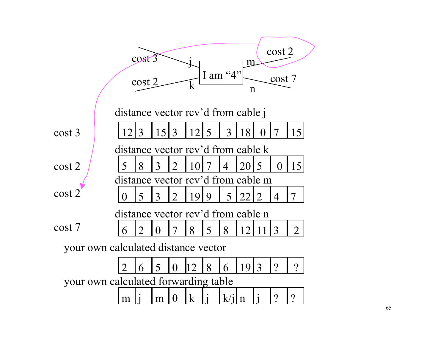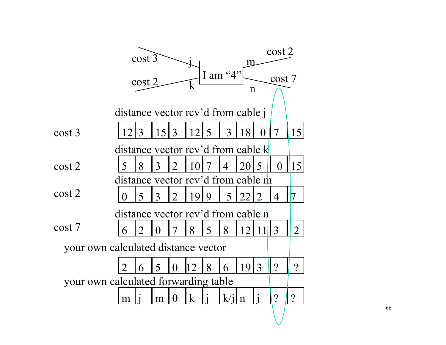|                                      | $\cos t$ 3                         |            |      |                             |             |   |                |             | cost 2             |                |                |  |  |
|--------------------------------------|------------------------------------|------------|------|-----------------------------|-------------|---|----------------|-------------|--------------------|----------------|----------------|--|--|
|                                      |                                    |            |      |                             |             |   |                |             | $\operatorname{m}$ |                |                |  |  |
|                                      |                                    | $\cos t 2$ |      |                             | k           |   | I am "4"       |             |                    | cost 7         |                |  |  |
|                                      |                                    |            |      |                             |             |   |                | $\mathbf n$ |                    |                |                |  |  |
| distance vector rcv'd from cable j   |                                    |            |      |                             |             |   |                |             |                    |                |                |  |  |
| cost 3                               |                                    | 3          | 1513 |                             | <u>12</u>   | 5 | 3              | 18          | 0                  | 7              | 15             |  |  |
| distance vector rcy'd from cable k   |                                    |            |      |                             |             |   |                |             |                    |                |                |  |  |
| $\cos t 2$                           | 5                                  | 8          | 3    | $\overline{2}$              | 10          |   | 4              | 201         | 5                  | $\overline{0}$ | 15             |  |  |
|                                      | distance vector rcy'd from cable m |            |      |                             |             |   |                |             |                    |                |                |  |  |
| cost 2                               | ( )                                | 5          | 3    | $\mathcal{D}_{\mathcal{A}}$ | 1919        |   | $\overline{5}$ | 22          | $\mathcal{D}$      | $\overline{4}$ | 7              |  |  |
|                                      | distance vector rcv'd from cable n |            |      |                             |             |   |                |             |                    |                |                |  |  |
| cost 7                               | 6                                  | 2          | 0    |                             | 8           | 5 | 8              | 12          |                    | 3              | $\overline{2}$ |  |  |
| your own calculated distance vector  |                                    |            |      |                             |             |   |                |             |                    |                |                |  |  |
|                                      |                                    | 6          | 5    | ()                          |             | 8 | 6              | 19          | 3                  | $\gamma$       | $\overline{?}$ |  |  |
| your own calculated forwarding table |                                    |            |      |                             |             |   |                |             |                    |                |                |  |  |
|                                      | m                                  |            | m    | $\theta$                    | $\mathbf k$ |   | k/i            | $\mathbf n$ |                    | ?              | $\gamma$       |  |  |
|                                      |                                    |            |      |                             |             |   |                |             |                    |                |                |  |  |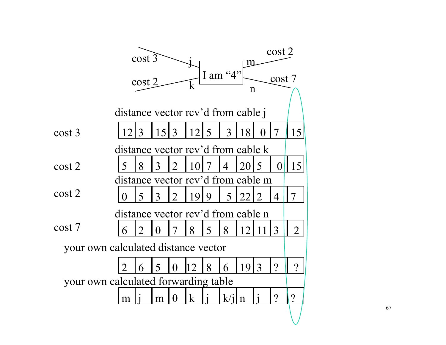|                                      | $\cos t$ 3                         |                |      |                       |              |   |                |             | cost 2<br>m      |                       |          |  |  |
|--------------------------------------|------------------------------------|----------------|------|-----------------------|--------------|---|----------------|-------------|------------------|-----------------------|----------|--|--|
|                                      |                                    | $\cos t 2$     |      |                       | k            |   | I am $"4"$     | $\mathbf n$ |                  | cost 7                |          |  |  |
| distance vector rcv'd from cable j   |                                    |                |      |                       |              |   |                |             |                  |                       |          |  |  |
| cost 3                               |                                    | 3              | 1513 |                       | 12           | 5 | 3              | 18          | 0                | 7                     | 15       |  |  |
|                                      | distance vector rcy'd from cable k |                |      |                       |              |   |                |             |                  |                       |          |  |  |
| $\cos t 2$                           | 5                                  | 8              | 3    | $\mathcal{D}_{\cdot}$ | 10           |   | 4              | 20          | $\overline{5}$   | $\overline{0}$        | 15       |  |  |
|                                      | distance vector rcv'd from cable m |                |      |                       |              |   |                |             |                  |                       |          |  |  |
| $\cos t 2$                           | ⋂                                  | 5              | 3    | $\overline{2}$        | 9            | 9 | 5 <sup>1</sup> | 22          | $\sum_{i=1}^{n}$ | 4                     | 7        |  |  |
| distance vector rcy'd from cable n   |                                    |                |      |                       |              |   |                |             |                  |                       |          |  |  |
| cost 7                               | 6                                  | $\overline{2}$ | ( )  |                       | 8            | 5 | 8              | 12          |                  | 3                     | 2        |  |  |
| your own calculated distance vector  |                                    |                |      |                       |              |   |                |             |                  |                       |          |  |  |
|                                      |                                    | 6              | 5    | ()                    |              | 8 | 6              | 19          | $\overline{3}$   | $\gamma$              | $\gamma$ |  |  |
| your own calculated forwarding table |                                    |                |      |                       |              |   |                |             |                  |                       |          |  |  |
|                                      | m                                  |                | m    | 0                     | $\mathbf{k}$ |   | k/i            | $\mathbf n$ |                  | $\boldsymbol{\gamma}$ | ?        |  |  |
|                                      |                                    |                |      |                       |              |   |                |             |                  |                       |          |  |  |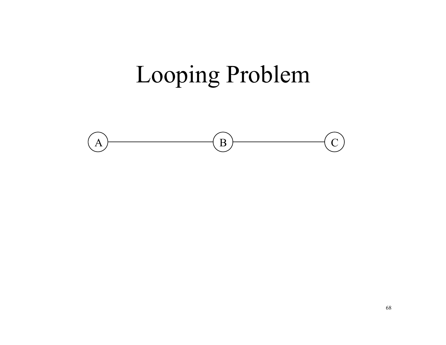# Looping Problem

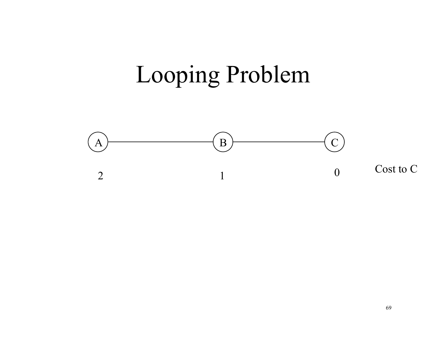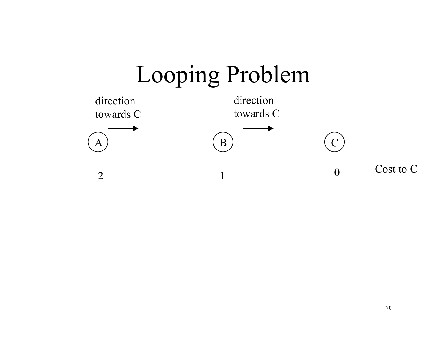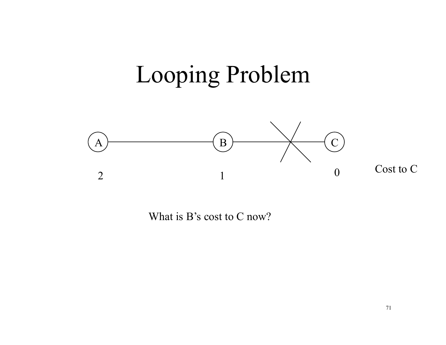

What is B's cost to C now?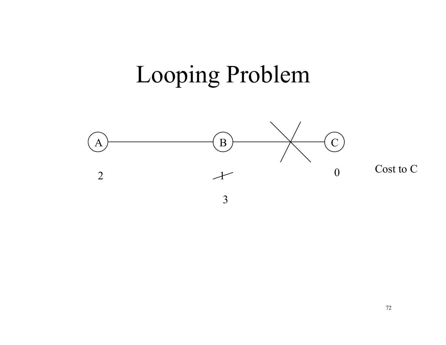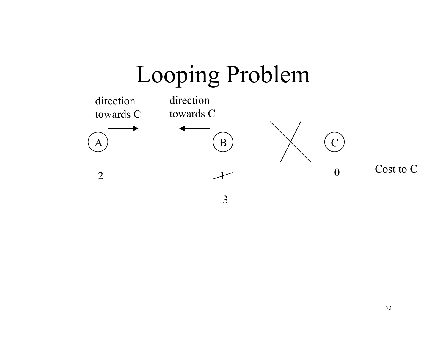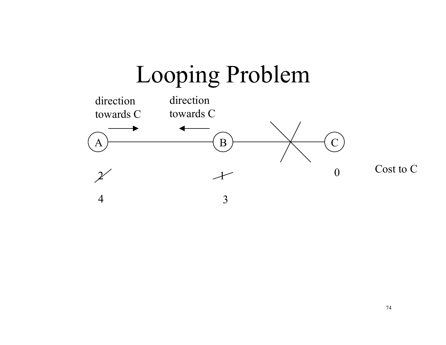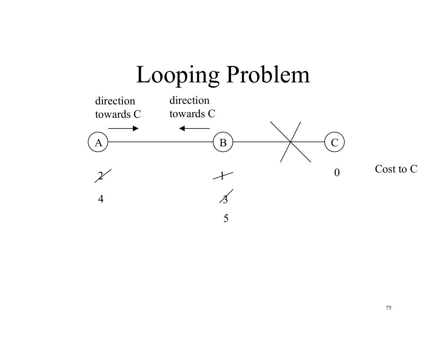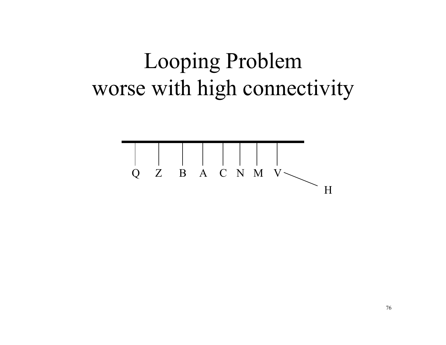### Looping Problem worse with high connectivity

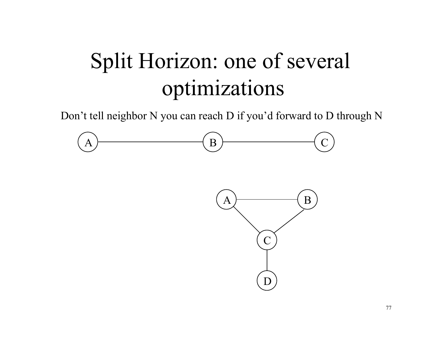# Split Horizon: one of several optimizations

Don't tell neighbor N you can reach D if you'd forward to D through N



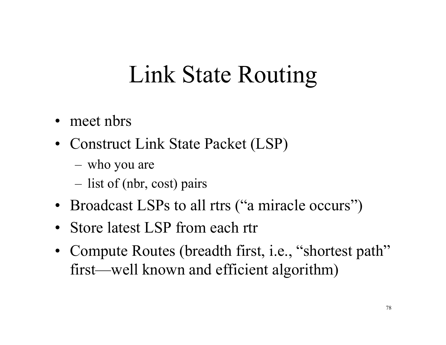# Link State Routing

- meet nbrs
- Construct Link State Packet (LSP)
	- who you are
	- list of (nbr, cost) pairs
- Broadcast LSPs to all rtrs ("a miracle occurs")
- Store latest LSP from each rtr
- Compute Routes (breadth first, *i.e.*, "shortest path" first—well known and efficient algorithm)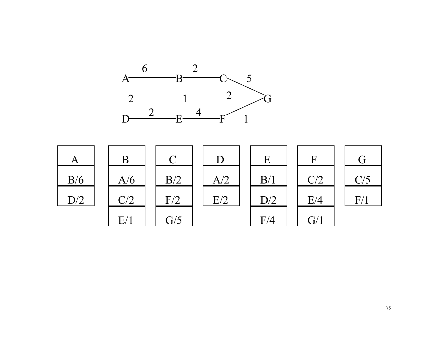

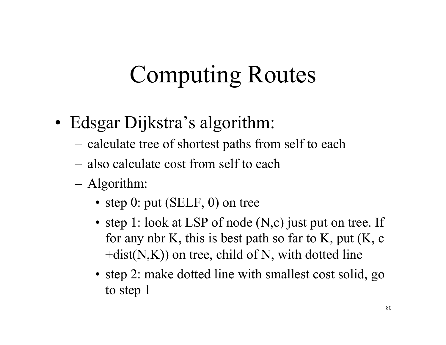# Computing Routes

- Edsgar Dijkstra's algorithm:
	- calculate tree of shortest paths from self to each
	- also calculate cost from self to each
	- Algorithm:
		- step 0: put (SELF, 0) on tree
		- step 1: look at LSP of node (N,c) just put on tree. If for any nbr K, this is best path so far to K, put (K, c  $+dist(N,K))$  on tree, child of N, with dotted line
		- step 2: make dotted line with smallest cost solid, go to step 1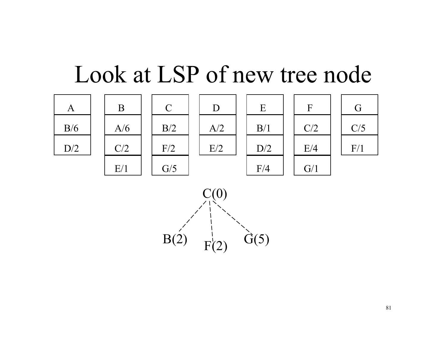#### Look at LSP of new tree node



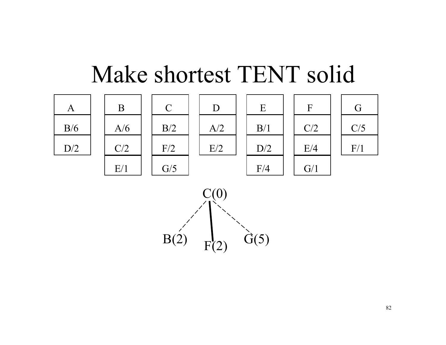### Make shortest TENT solid



 $B(2)$   $F(2)$   $G(5)$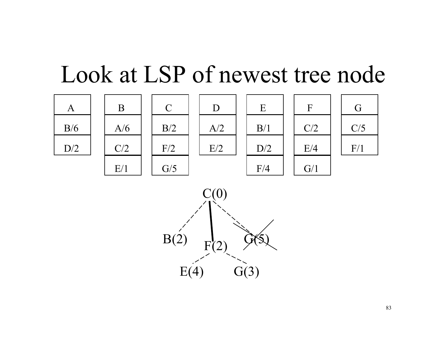## Look at LSP of newest tree node

E



B

A/6

 $C/2$ 

 $E/1$ 





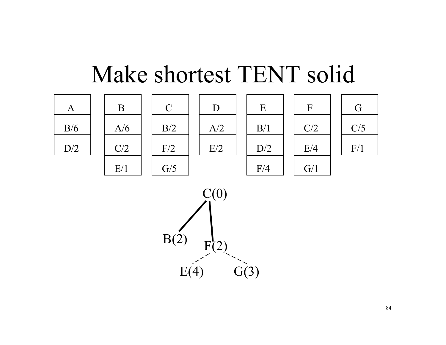#### Make shortest TENT solid

E

B/1

 $D/2$ 

 $F/4$ 





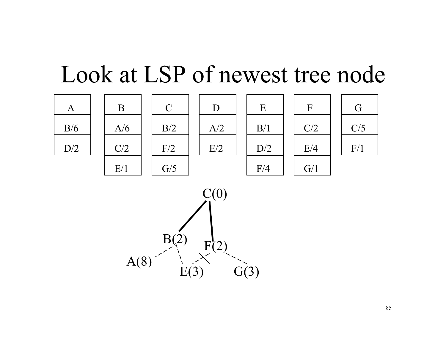### Look at LSP of newest tree node



B

A/6

 $C/2$ 

 $E/1$ 





| $\vec{r}$  |  |
|------------|--|
| C/5        |  |
| $\rm{F}/1$ |  |



85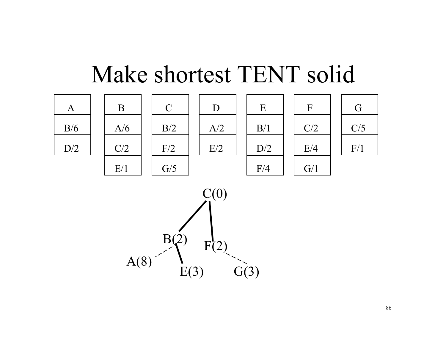## Make shortest TENT solid



 $A(8)$   $\qquad \qquad$   $E(3)$   $G(3)$ 

86

G

 $C/5$ 

F/1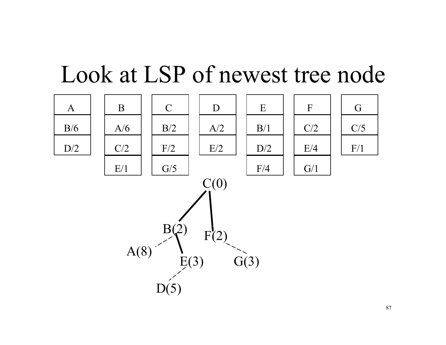### Look at LSP of newest tree node

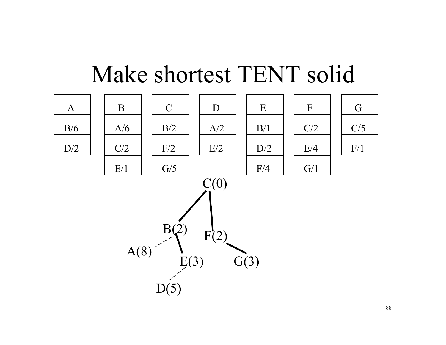

### Make shortest TENT solid

88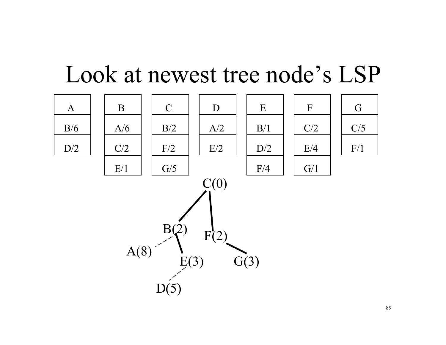#### Look at newest tree node's LSP

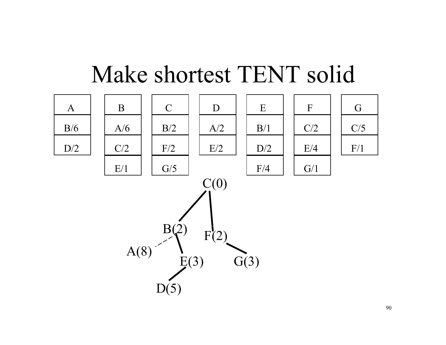

### Make shortest TENT solid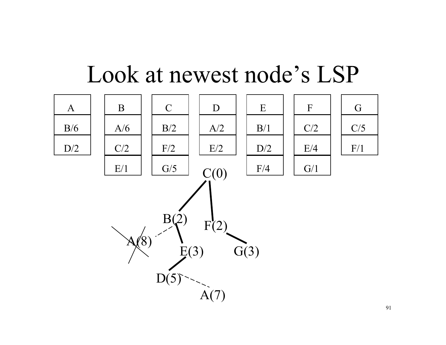

#### Look at newest node's LSP

91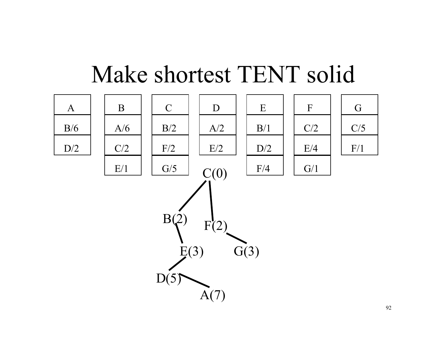

### Make shortest TENT solid

92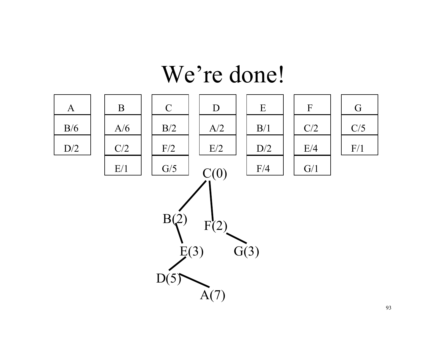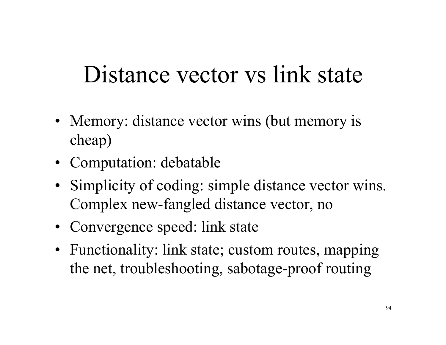# Distance vector vs link state

- Memory: distance vector wins (but memory is cheap)
- Computation: debatable
- Simplicity of coding: simple distance vector wins. Complex new-fangled distance vector, no
- Convergence speed: link state
- Functionality: link state; custom routes, mapping the net, troubleshooting, sabotage-proof routing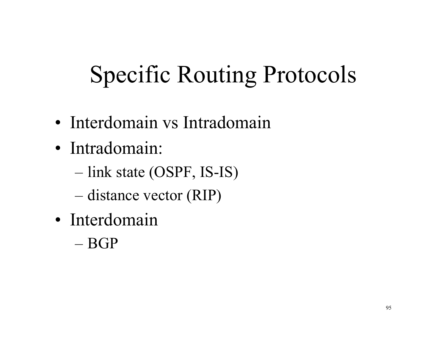# Specific Routing Protocols

- Interdomain vs Intradomain
- Intradomain:
	- link state (OSPF, IS-IS)
	- distance vector (RIP)
- Interdomain
	- BGP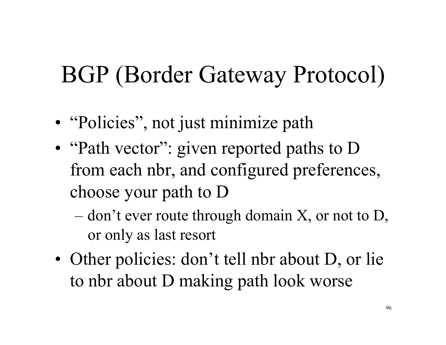# BGP (Border Gateway Protocol)

- "Policies", not just minimize path
- "Path vector": given reported paths to D from each nbr, and configured preferences, choose your path to D
	- $-$  don't ever route through domain X, or not to D, or only as last resort
- Other policies: don't tell nbr about D, or lie to nbr about D making path look worse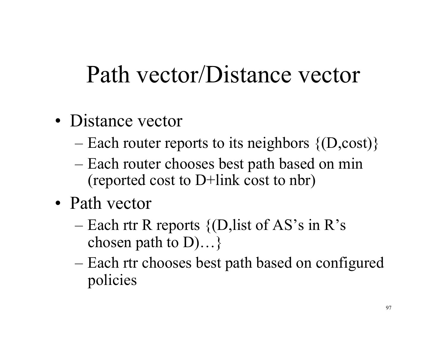# Path vector/Distance vector

- Distance vector
	- Each router reports to its neighbors  $\{D, cost\}$
	- Each router chooses best path based on min (reported cost to D+link cost to nbr)
- Path vector
	- Each rtr R reports  $\{$ (D,list of AS's in R's chosen path to D)…}
	- Each rtr chooses best path based on configured policies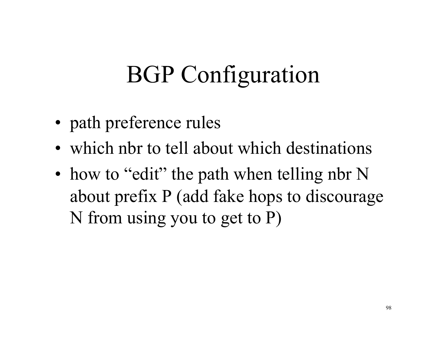# BGP Configuration

- path preference rules
- which nbr to tell about which destinations
- how to "edit" the path when telling nbr N about prefix P (add fake hops to discourage N from using you to get to P)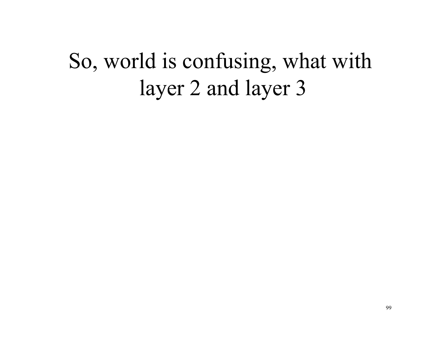### So, world is confusing, what with layer 2 and layer 3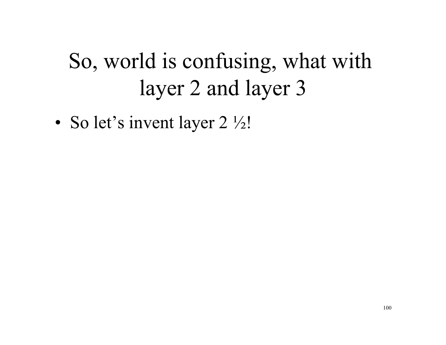# So, world is confusing, what with layer 2 and layer 3

• So let's invent layer 2  $\frac{1}{2}$ !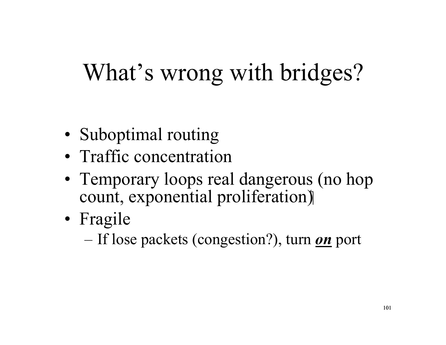# What's wrong with bridges?

- Suboptimal routing
- Traffic concentration
- Temporary loops real dangerous (no hop count, exponential proliferation)
- Fragile
	- If lose packets (congestion?), turn *on* port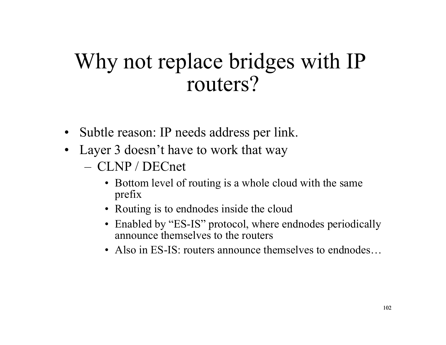#### Why not replace bridges with IP routers?

- Subtle reason: IP needs address per link.
- Layer 3 doesn't have to work that way
	- CLNP / DECnet
		- Bottom level of routing is a whole cloud with the same prefix
		- Routing is to endnodes inside the cloud
		- Enabled by "ES-IS" protocol, where endnodes periodically announce themselves to the routers
		- Also in ES-IS: routers announce themselves to endnodes...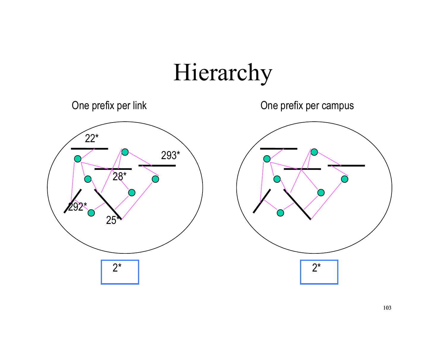# Hierarchy

One prefix per link One prefix per campus



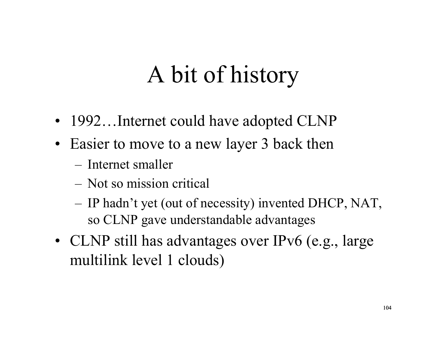# A bit of history

- 1992...Internet could have adopted CLNP
- Easier to move to a new layer 3 back then
	- Internet smaller
	- Not so mission critical
	- IP hadn't yet (out of necessity) invented DHCP, NAT, so CLNP gave understandable advantages
- CLNP still has advantages over IPv6 (e.g., large multilink level 1 clouds)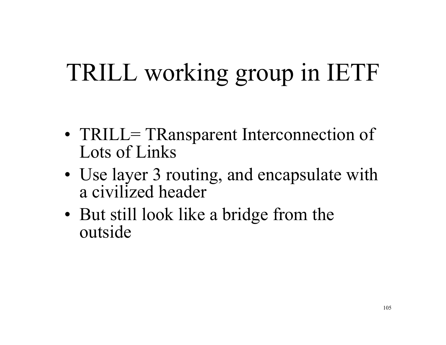# TRILL working group in IETF

- TRILL= TRansparent Interconnection of Lots of Links
- Use layer 3 routing, and encapsulate with a civilized header
- But still look like a bridge from the outside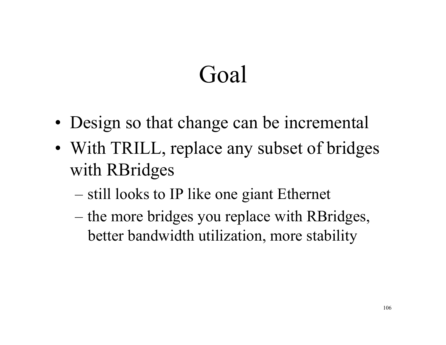# Goal

- Design so that change can be incremental
- With TRILL, replace any subset of bridges with RBridges
	- still looks to IP like one giant Ethernet
	- the more bridges you replace with RBridges, better bandwidth utilization, more stability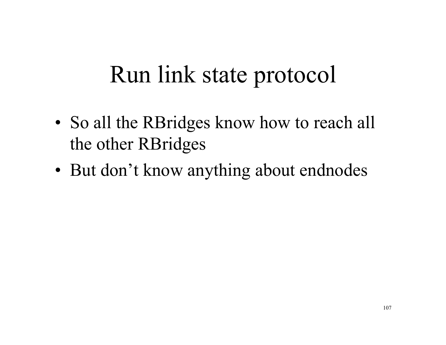### Run link state protocol

- So all the RBridges know how to reach all the other RBridges
- But don't know anything about endnodes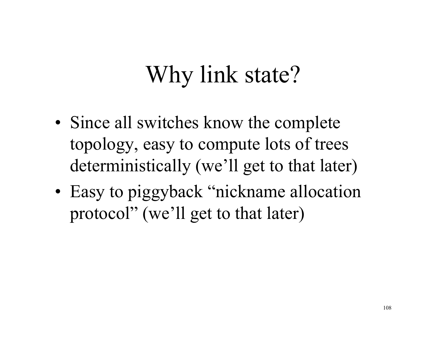# Why link state?

- Since all switches know the complete topology, easy to compute lots of trees deterministically (we'll get to that later)
- Easy to piggyback "nickname allocation" protocol" (we'll get to that later)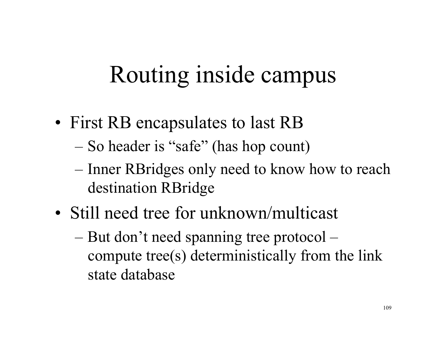## Routing inside campus

- First RB encapsulates to last RB
	- So header is "safe" (has hop count)
	- Inner RBridges only need to know how to reach destination RBridge
- Still need tree for unknown/multicast
	- But don't need spanning tree protocol compute tree(s) deterministically from the link state database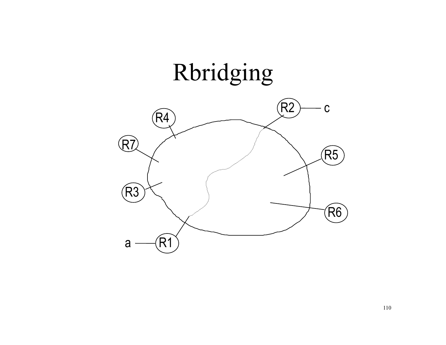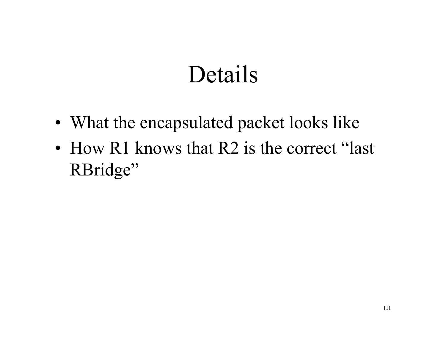### Details

- What the encapsulated packet looks like
- How R1 knows that R2 is the correct "last" RBridge"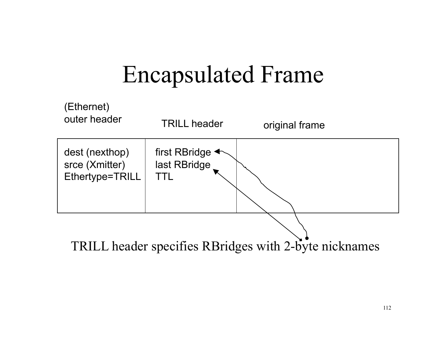## Encapsulated Frame

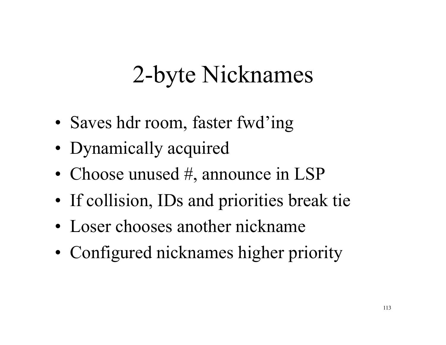# 2-byte Nicknames

- Saves hdr room, faster fwd'ing
- Dynamically acquired
- Choose unused #, announce in LSP
- If collision, IDs and priorities break tie
- Loser chooses another nickname
- Configured nicknames higher priority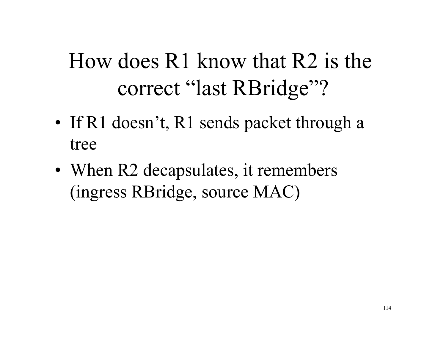#### How does R1 know that R2 is the correct "last RBridge"?

- If R1 doesn't, R1 sends packet through a tree
- When R2 decapsulates, it remembers (ingress RBridge, source MAC)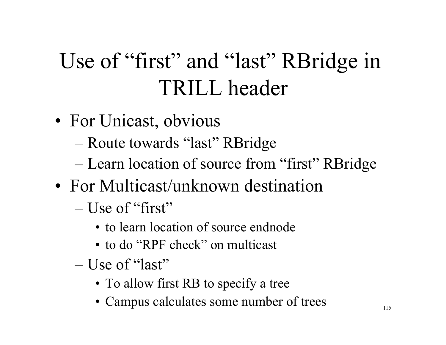#### Use of "first" and "last" RBridge in TRILL header

- For Unicast, obvious
	- Route towards "last" RBridge
	- Learn location of source from "first" RBridge
- For Multicast/unknown destination
	- $-$  Use of "first"
		- to learn location of source endnode
		- to do "RPF check" on multicast
	- Use of "last"
		- To allow first RB to specify a tree
		- Campus calculates some number of trees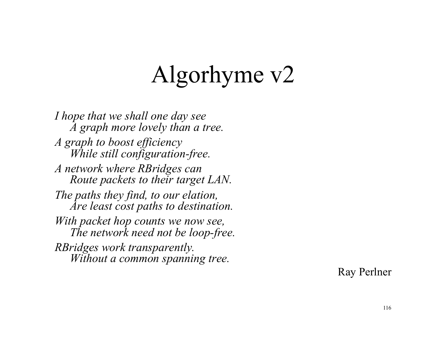## Algorhyme v2

*I hope that we shall one day see A graph more lovely than a tree. A graph to boost efficiency While still configuration-free. A network where RBridges can Route packets to their target LAN. The paths they find, to our elation, Are least cost paths to destination. With packet hop counts we now see, The network need not be loop-free. RBridges work transparently. Without a common spanning tree.* 

Ray Perlner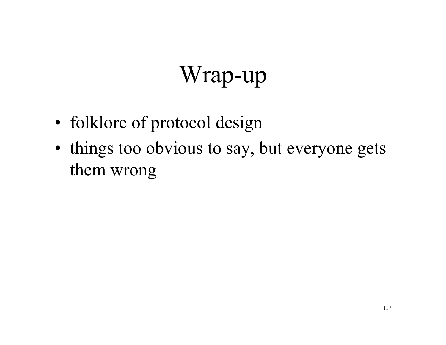# Wrap-up

- folklore of protocol design
- things too obvious to say, but everyone gets them wrong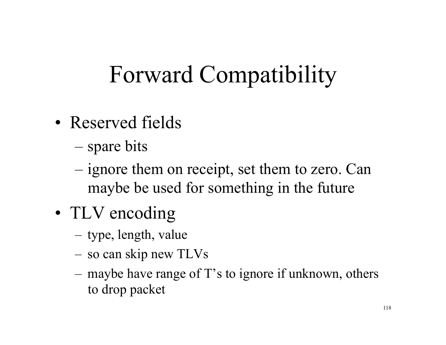# Forward Compatibility

- Reserved fields
	- spare bits
	- ignore them on receipt, set them to zero. Can maybe be used for something in the future
- TLV encoding
	- type, length, value
	- so can skip new TLVs
	- maybe have range of T's to ignore if unknown, others to drop packet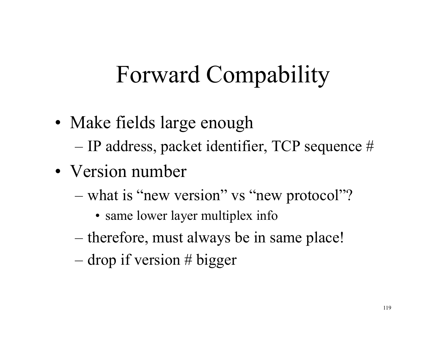# Forward Compability

- Make fields large enough
	- IP address, packet identifier, TCP sequence #
- Version number
	- what is "new version" vs "new protocol"?
		- same lower layer multiplex info
	- therefore, must always be in same place!
	- $-$  drop if version # bigger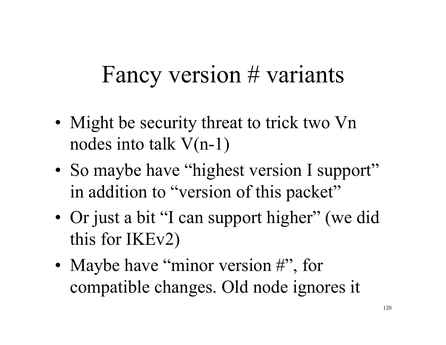#### Fancy version # variants

- Might be security threat to trick two Vn nodes into talk V(n-1)
- So maybe have "highest version I support" in addition to "version of this packet"
- Or just a bit "I can support higher" (we did this for IKEv2)
- Maybe have "minor version #", for compatible changes. Old node ignores it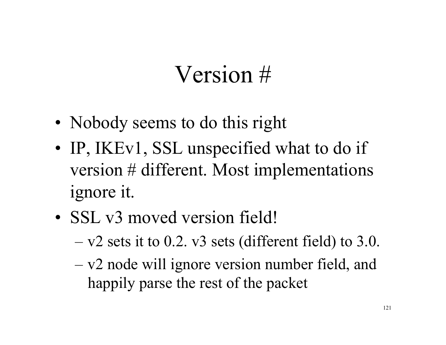## Version #

- Nobody seems to do this right
- IP, IKEv1, SSL unspecified what to do if version # different. Most implementations ignore it.
- SSL v3 moved version field!
	- $-$  v2 sets it to 0.2. v3 sets (different field) to 3.0.
	- v2 node will ignore version number field, and happily parse the rest of the packet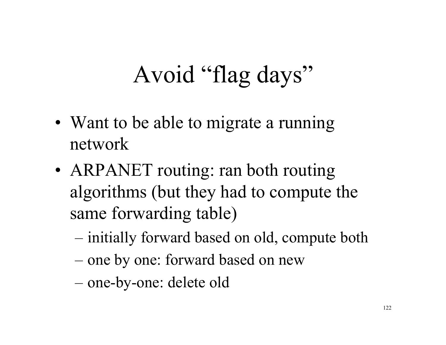# Avoid "flag days"

- Want to be able to migrate a running network
- ARPANET routing: ran both routing algorithms (but they had to compute the same forwarding table)
	- initially forward based on old, compute both
	- one by one: forward based on new
	- one-by-one: delete old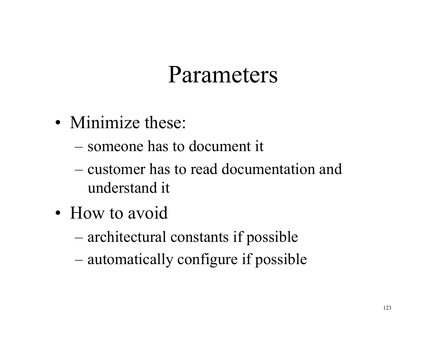#### Parameters

- Minimize these:
	- someone has to document it
	- customer has to read documentation and understand it
- How to avoid
	- architectural constants if possible
	- automatically configure if possible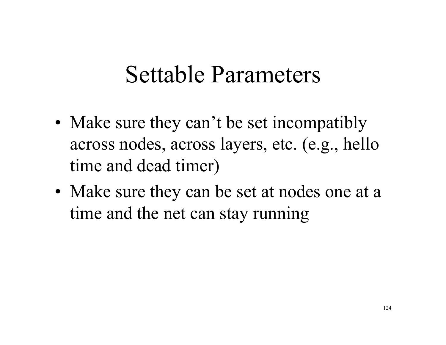#### Settable Parameters

- Make sure they can't be set incompatibly across nodes, across layers, etc. (e.g., hello time and dead timer)
- Make sure they can be set at nodes one at a time and the net can stay running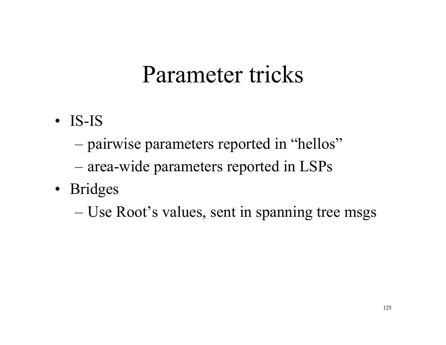#### Parameter tricks

- IS-IS
	- pairwise parameters reported in "hellos"
	- area-wide parameters reported in LSPs
- Bridges
	- Use Root's values, sent in spanning tree msgs